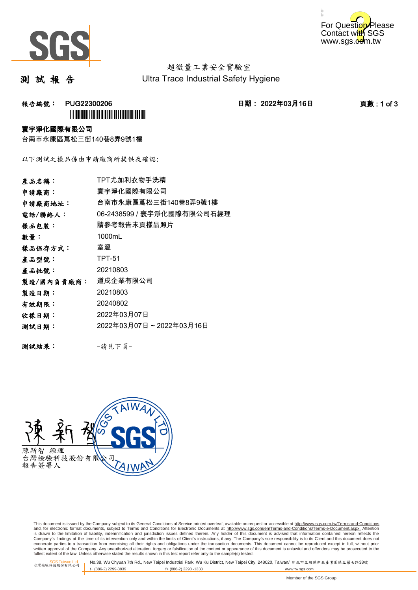



# 超微量工業安全實驗室

測 試 報 告

Ultra Trace Industrial Safety Hygiene

报告編號: PUG22300206 20 20 20 20 20 日期: 2022年03月16日 2022年03月16日 20 页數:1 of 3 **III) BUILDIII I IIII DIIII IIII DIIII III** 

#### 寰宇淨化國際有限公司

台南市永康區蔦松三街140巷8弄9號1樓

以下測試之樣品係由申請廠商所提供及確認:

| 產品名稱:      | TPT尤加利衣物手洗精                |
|------------|----------------------------|
| 申請廠商:      | 寰宇淨化國際有限公司                 |
| 申請廠商地址:    | 台南市永康區蔦松三街140巷8弄9號1樓       |
| 電話/聯絡人:    | 06-2438599 / 寰宇淨化國際有限公司石經理 |
| 樣品包裝:      | 請參考報告末頁樣品照片                |
| 數量:        | 1000mL                     |
| 樣品保存方式:    | 室溫                         |
| 產品型號:      | <b>TPT-51</b>              |
| 產品批號:      | 20210803                   |
| 製造/國內負責廠商: | 道成企業有限公司                   |
| 製造日期:      | 20210803                   |
| 有效期限:      | 20240802                   |
| 收樣日期:      | 2022年03月07日                |
| 测試日期:      | 2022年03月07日~2022年03月16日    |
|            |                            |
| 測試結果:      | -請見下頁-                     |



This document is issued by the Company subject to its General Conditions of Service printed overleaf, available on request or accessible at http://www.sgs.com.tw/Terms-and-Conditions and, for electronic format documents, subject to Terms and Conditions for Electronic Documents at http://www.sgs.com/en/Terms-and-Conditions/Terms-e-Document.aspx. Attention is drawn to the limitation of liability, indemnification and jurisdiction issues defined therein. Any holder of this document is advised that information contained hereon reflects the<br>Company's findings at the time of its exonerate parties to a transaction from exercising all their rights and obligations under the transaction documents. This document cannot be reproduced except in full, without prior<br>written approval of the Company. Any una fullest extent of the law. Unless otherwise stated the results shown in this test report refer only to the sample(s) tested.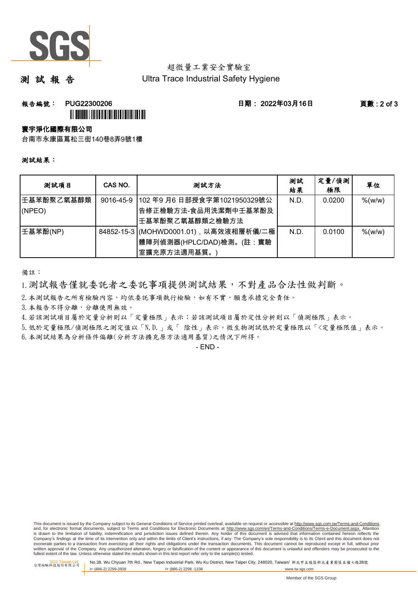

# 超微量工業安全實驗室

### 測 試 報 告

Ultra Trace Industrial Safety Hygiene

**報告編號: PUG22300206 日期: 2022年03月16日 頁數:2 of 3** 

#### 寰宇淨化國際有限公司

台南市永康區蔦松三街140巷8弄9號1樓

**Î** ALIAN ANDIA ANDIA ANDIA ANDIA ANDIA

測試結果:

| 测試項目       | CAS NO.   | 測試方法                                  | 測試<br>結果 | 定量/偵測<br>極限 | 單位         |
|------------|-----------|---------------------------------------|----------|-------------|------------|
| 壬基苯酚聚乙氧基醇類 | 9016-45-9 | 102年9月6日部授食字第1021950329號公             | N.D.     | 0.0200      | $%$ (w/w)  |
| (NPEO)     |           | <sup> </sup> 告修正檢驗方法-食品用洗潔劑中壬基苯酚及     |          |             |            |
|            |           | 壬基苯酚聚乙氧基醇類之檢驗方法                       |          |             |            |
| 壬基苯酚(NP)   |           | 84852-15-3 (MOHWD0001.01),以高效液相層析儀/二極 | N.D.     | 0.0100      | $\%$ (w/w) |
|            |           | 體陣列偵測器(HPLC/DAD)檢測。(註:實驗              |          |             |            |
|            |           | 室擴充原方法適用基質。                           |          |             |            |

備註:

1.測試報告僅就委託者之委託事項提供測試結果,不對產品合法性做判斷。

2. 本測試報告之所有檢驗內容,均依委託事項執行檢驗,如有不實,願意承擔完全責任。

3. 本報告不得分離,分離使用無效。

4.若該測試項目屬於定量分析則以「定量極限」表示;若該測試項目屬於定性分析則以「偵測極限」表示。

5.低於定量極限/偵測極限之測定值以「N.D.」或「 陰性」表示。微生物測試低於定量極限以「<定量極限值」表示。

6.本測試結果為分析條件偏離(分析方法擴充原方法適用基質)之情況下所得。

- END -

This document is issued by the Company subject to its General Conditions of Service printed overleaf, available on request or accessible at http://www.sgs.com.tw/Terms-and-Conditions and, for electronic format documents, subject to Terms and Conditions for Electronic Documents at http://www.sgs.com/en/Terms-and-Conditions/Terms-e-Document.aspx. Attention is drawn to the limitation of liability, indemnification and jurisdiction issues defined therein. Any holder of this document is advised that information contained hereon reflects the Company's findings at the time of its intervention only and within the limits of Client's instructions, if any. The Company's sole responsibility is to its Client and this document does not exonerate parties to a transaction from exercising all their rights and obligations under the transaction documents. This document cannot be reproduced except in full, without prior<br>written approval of the Company. Any una fullest extent of the law. Unless otherwise stated the results shown in this test report refer only to the sample(s) tested.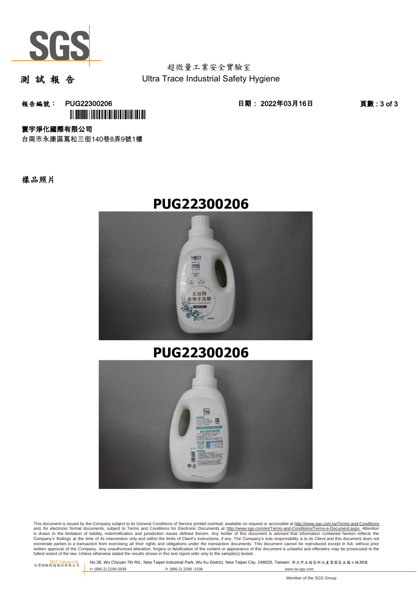

測 試 報 告

報告編號: PUG22300206 日期: 2022年03月16日 頁數 : 3 of 3 **III) BUILDIII | ITII DIII | ITI DIII | ITII DIII | ITI** 

寰宇淨化國際有限公司

台南市永康區蔦松三街140巷8弄9號1樓

樣品照片





# **PUG22300206**



This document is issued by the Company subject to its General Conditions of Service printed overleaf, available on request or accessible at http://www.sgs.com.tw/Terms-and-Conditions and, for electronic format documents, subject to Terms and Conditions for Electronic Documents at http://www.sgs.com/en/Terms-and-Conditions/Terms-e-Document.aspx. Attention is drawn to the limitation of liability, indemnification and jurisdiction issues defined therein. Any holder of this document is advised that information contained hereon reflects the<br>Company's findings at the time of its exonerate parties to a transaction from exercising all their rights and obligations under the transaction documents. This document cannot be reproduced except in full, without prior<br>written approval of the Company. Any una fullest extent of the law. Unless otherwise stated the results shown in this test report refer only to the sample(s) tested.

SGS Taiwan Ltd.<br>台灣检驗科技股份有限公司

No.38, Wu Chyuan 7th Rd., New Taipei Industrial Park, Wu Ku District, New Taipei City, 248020, Taiwan/ 新北市五股區新北產業園區五權七路38號<br>t+ (886-2) 2299-3939 f+ (886-2) 2298 -1338 f+ (886-2) 2298 -1338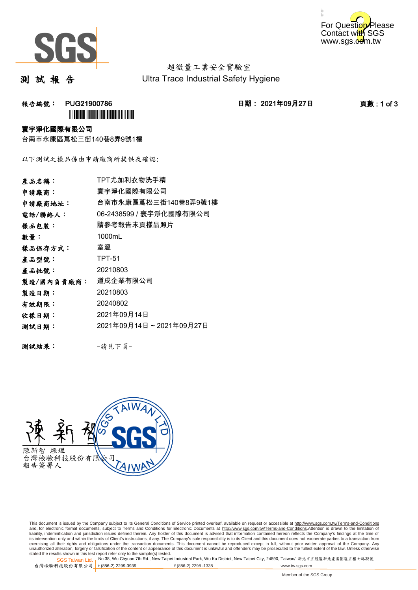



測 試 報 告

报告編號: PUG21900786 2021年09月27日 11: 日期: 2021年09月27日 2021年09月27日 2021年0月27日 2021年0月27日 2021年0月27日 2021年0月27日 2021年0月27日 2021年0月27日 2021年0月27日 2021年0月27日 2021年0月27日 2021年0月27日 2021年0月27日 2021年0月27日 2021年0月27日 2021年0月27日 2021

## **`** 寰宇淨化國際有限公司

台南市永康區蔦松三街140巷8弄9號1樓

以下測試之樣品係由申請廠商所提供及確認:

| 產品名稱:      | TPT尤加利衣物洗手精             |
|------------|-------------------------|
| 申請廠商:      | 寰宇淨化國際有限公司              |
| 申請廠商地址:    | 台南市永康區蔦松三街140巷8弄9號1樓    |
| 電話/聯絡人:    | 06-2438599 / 寰宇淨化國際有限公司 |
| 樣品包裝:      | 請參考報告末頁樣品照片             |
| 數量:        | 1000mL                  |
| 樣品保存方式:    | 室溫                      |
| 產品型號:      | <b>TPT-51</b>           |
| 產品批號:      | 20210803                |
| 製造/國內負責廠商: | 道成企業有限公司                |
| 製造日期:      | 20210803                |
| 有效期限:      | 20240802                |
| 收樣日期:      | 2021年09月14日             |
| 测試日期:      | 2021年09月14日~2021年09月27日 |
|            |                         |
| 測試結果:      | -請見下頁-                  |



This document is issued by the Company subject to its General Conditions of Service printed overleaf, available on request or accessible at http://www.sgs.com.tw/Terms-and-Conditions and, for electronic format documents, subject to Terms and Conditions for Electronic Documents at <u>http://www.sgs.com.tw/Terms-and-Conditions</u>.Attention is drawn to the limitation of<br>liability, indemnification and jurisdic exercising all their rights and obligations under the transaction documents. This document cannot be reproduced except in full, without prior written approval of the Company. Any<br>unauthorized alteration, forgery or falsifi

SGS Taiwan Ltd. 1 stated the results shown in this test report refer only to the sample(s) tested.<br>Stated the results shown in this test report refer only to the sample(s) tested.

台灣檢驗科技股份有限公司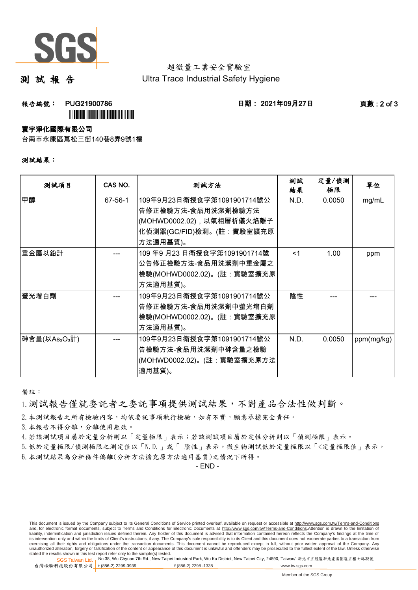

測 試 報 告

**報告編號: PUG21900786 日期: 2021年09月27日 頁數:2 of 3** 

#### 寰宇淨化國際有限公司

台南市永康區蔦松三街140巷8弄9號1樓

**`** 

|  |  |  | 测試結果: |  |
|--|--|--|-------|--|
|--|--|--|-------|--|

| 测試項目         | CAS NO. | 测試方法                                             | 測試<br>結果 | 定量/偵測<br>極限 | 單位         |
|--------------|---------|--------------------------------------------------|----------|-------------|------------|
| 甲醇           | 67-56-1 | 109年9月23日衛授食字第1091901714號公<br>告修正檢驗方法-食品用洗潔劑檢驗方法 | N.D.     | 0.0050      | mg/mL      |
|              |         | (MOHWD0002.02),以氣相層析儀火焰離子                        |          |             |            |
|              |         | 化偵測器(GC/FID)檢測。(註:實驗室擴充原                         |          |             |            |
|              |         | 方法適用基質)。                                         |          |             |            |
| 重金屬以鉛計       |         | 109年9月23日衛授食字第1091901714號                        | <1       | 1.00        | ppm        |
|              |         | 公告修正檢驗方法-食品用洗潔劑中重金屬之                             |          |             |            |
|              |         | 檢驗(MOHWD0002.02)。(註:實驗室擴充原                       |          |             |            |
|              |         | 方法適用基質)。                                         |          |             |            |
| 螢光增白劑        |         | 109年9月23日衛授食字第1091901714號公                       | 陰性       |             |            |
|              |         | 告修正檢驗方法-食品用洗潔劑中螢光增白劑                             |          |             |            |
|              |         | 檢驗(MOHWD0002.02)。(註:實驗室擴充原                       |          |             |            |
|              |         | 方法適用基質)。                                         |          |             |            |
| 砷含量(以As2O3計) |         | 109年9月23日衛授食字第1091901714號公                       | N.D.     | 0.0050      | ppm(mg/kg) |
|              |         | 告檢驗方法-食品用洗潔劑中砷含量之檢驗                              |          |             |            |
|              |         | (MOHWD0002.02)。(註:實驗室擴充原方法                       |          |             |            |
|              |         | 適用基質)。                                           |          |             |            |

備註:

1.測試報告僅就委託者之委託事項提供測試結果,不對產品合法性做判斷。

2. 本測試報告之所有檢驗內容,均依委託事項執行檢驗,如有不實,願意承擔完全責任。

3. 本報告不得分離,分離使用無效。

4.若該測試項目屬於定量分析則以「定量極限」表示;若該測試項目屬於定性分析則以「偵測極限」表示。

5.低於定量極限/偵測極限之測定值以「N.D.」或「 陰性」表示。微生物測試低於定量極限以「<定量極限值」表示。

6.本測試結果為分析條件偏離(分析方法擴充原方法適用基質)之情況下所得。

- END -

This document is issued by the Company subject to its General Conditions of Service printed overleaf, available on request or accessible at http://www.sgs.com.tw/Terms-and-Conditions and, for electronic format documents, subject to Terms and Conditions for Electronic Documents at http://www.sgs.com.tw/Terms-and-Conditions.Attention is drawn to the limitation of liability, indemnification and jurisdiction issues defined therein. Any holder of this document is advised that information contained hereon reflects the Company's findings at the time of<br>its intervention only and within t exercising all their rights and obligations under the transaction documents. This document cannot be reproduced except in full, without prior written approval of the Company. Any<br>unauthorized alteration, forgery or falsifi

SGS Taiwan Ltd. 1 stated the results shown in this test report refer only to the sample(s) tested.<br>Stated the results shown in this test report refer only to the sample(s) tested.